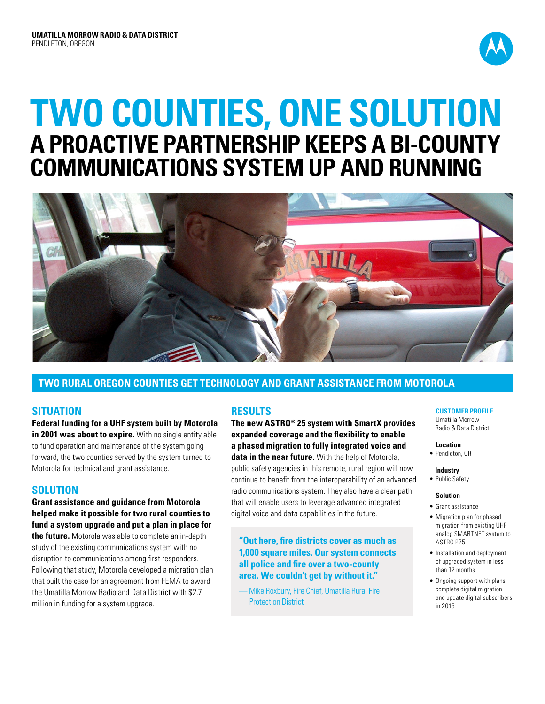

# **Two counties, one solution A proactive partnership keeps a bi-county communications system up and running**



# **TWO RURAL OREGON COUNTIES GET TECHNOLOGY AND GRANT ASSISTANCE FROM MOTOROLA**

## **SITUATION**

**Federal funding for a UHF system built by Motorola**  in 2001 was about to expire. With no single entity able to fund operation and maintenance of the system going forward, the two counties served by the system turned to Motorola for technical and grant assistance.

# **SOLUTION**

**Grant assistance and guidance from Motorola helped make it possible for two rural counties to fund a system upgrade and put a plan in place for the future.** Motorola was able to complete an in-depth study of the existing communications system with no disruption to communications among first responders. Following that study, Motorola developed a migration plan that built the case for an agreement from FEMA to award the Umatilla Morrow Radio and Data District with \$2.7 million in funding for a system upgrade.

# **RESULTS**

**The new ASTRO® 25 system with SmartX provides expanded coverage and the flexibility to enable a phased migration to fully integrated voice and data in the near future.** With the help of Motorola, public safety agencies in this remote, rural region will now continue to benefit from the interoperability of an advanced radio communications system. They also have a clear path that will enable users to leverage advanced integrated digital voice and data capabilities in the future.

**"Out here, fire districts cover as much as 1,000 square miles. Our system connects all police and fire over a two-county area. We couldn't get by without it."**

— Mike Roxbury, Fire Chief, Umatilla Rural Fire Protection District

#### **CUSTOMER PROFILE**

Umatilla Morrow Radio & Data District

- **Location**
- Pendleton, OR

 **Industry**

• Public Safety

#### **Solution**

- • Grant assistance
- • Migration plan for phased migration from existing UHF analog SMARTNET system to ASTRO P25
- • Installation and deployment of upgraded system in less than 12 months
- • Ongoing support with plans complete digital migration and update digital subscribers in 2015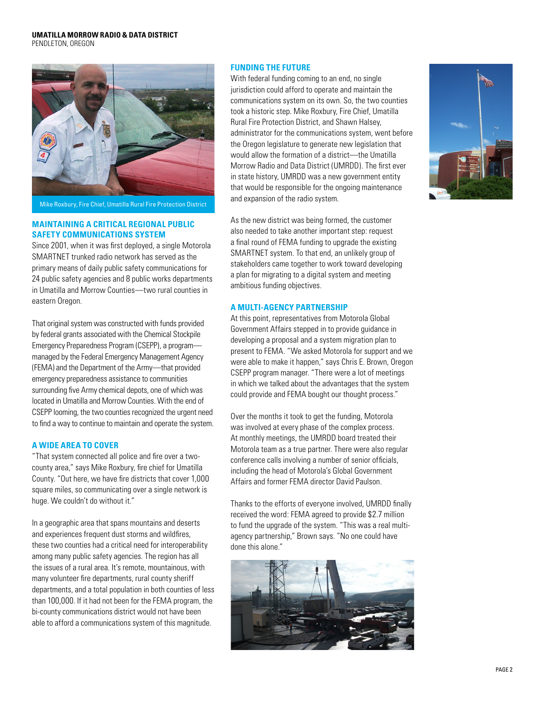#### **UMATILLA MORROW RADIO & DATA DISTRICT**

PENDLETON, OREGON



Mike Roxbury, Fire Chief, Umatilla Rural Fire Protection District

#### **Maintaining a critical regional public safety communications system**

Since 2001, when it was first deployed, a single Motorola SMARTNET trunked radio network has served as the primary means of daily public safety communications for 24 public safety agencies and 8 public works departments in Umatilla and Morrow Counties—two rural counties in eastern Oregon.

That original system was constructed with funds provided by federal grants associated with the Chemical Stockpile Emergency Preparedness Program (CSEPP), a program managed by the Federal Emergency Management Agency (FEMA) and the Department of the Army—that provided emergency preparedness assistance to communities surrounding five Army chemical depots, one of which was located in Umatilla and Morrow Counties. With the end of CSEPP looming, the two counties recognized the urgent need to find a way to continue to maintain and operate the system.

#### **A wide area to cover**

"That system connected all police and fire over a twocounty area," says Mike Roxbury, fire chief for Umatilla County. "Out here, we have fire districts that cover 1,000 square miles, so communicating over a single network is huge. We couldn't do without it."

In a geographic area that spans mountains and deserts and experiences frequent dust storms and wildfires, these two counties had a critical need for interoperability among many public safety agencies. The region has all the issues of a rural area. It's remote, mountainous, with many volunteer fire departments, rural county sheriff departments, and a total population in both counties of less than 100,000. If it had not been for the FEMA program, the bi-county communications district would not have been able to afford a communications system of this magnitude.

#### **Funding the future**

With federal funding coming to an end, no single jurisdiction could afford to operate and maintain the communications system on its own. So, the two counties took a historic step. Mike Roxbury, Fire Chief, Umatilla Rural Fire Protection District, and Shawn Halsey, administrator for the communications system, went before the Oregon legislature to generate new legislation that would allow the formation of a district—the Umatilla Morrow Radio and Data District (UMRDD). The first ever in state history, UMRDD was a new government entity that would be responsible for the ongoing maintenance and expansion of the radio system.

As the new district was being formed, the customer also needed to take another important step: request a final round of FEMA funding to upgrade the existing SMARTNET system. To that end, an unlikely group of stakeholders came together to work toward developing a plan for migrating to a digital system and meeting ambitious funding objectives.

#### **A multi-agency partnership**

At this point, representatives from Motorola Global Government Affairs stepped in to provide guidance in developing a proposal and a system migration plan to present to FEMA. "We asked Motorola for support and we were able to make it happen," says Chris E. Brown, Oregon CSEPP program manager. "There were a lot of meetings in which we talked about the advantages that the system could provide and FEMA bought our thought process."

Over the months it took to get the funding, Motorola was involved at every phase of the complex process. At monthly meetings, the UMRDD board treated their Motorola team as a true partner. There were also regular conference calls involving a number of senior officials, including the head of Motorola's Global Government Affairs and former FEMA director David Paulson.

Thanks to the efforts of everyone involved, UMRDD finally received the word: FEMA agreed to provide \$2.7 million to fund the upgrade of the system. "This was a real multiagency partnership," Brown says. "No one could have done this alone."



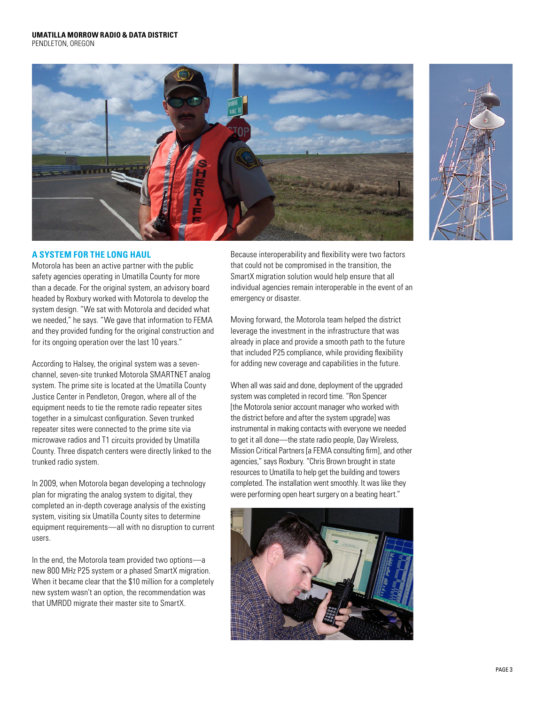PENDLETON, OREGON





### **A system for the long haul**

Motorola has been an active partner with the public safety agencies operating in Umatilla County for more than a decade. For the original system, an advisory board headed by Roxbury worked with Motorola to develop the system design. "We sat with Motorola and decided what we needed," he says. "We gave that information to FEMA and they provided funding for the original construction and for its ongoing operation over the last 10 years."

According to Halsey, the original system was a sevenchannel, seven-site trunked Motorola SMARTNET analog system. The prime site is located at the Umatilla County Justice Center in Pendleton, Oregon, where all of the equipment needs to tie the remote radio repeater sites together in a simulcast configuration. Seven trunked repeater sites were connected to the prime site via microwave radios and T1 circuits provided by Umatilla County. Three dispatch centers were directly linked to the trunked radio system.

In 2009, when Motorola began developing a technology plan for migrating the analog system to digital, they completed an in-depth coverage analysis of the existing system, visiting six Umatilla County sites to determine equipment requirements—all with no disruption to current users.

In the end, the Motorola team provided two options—a new 800 MHz P25 system or a phased SmartX migration. When it became clear that the \$10 million for a completely new system wasn't an option, the recommendation was that UMRDD migrate their master site to SmartX.

Because interoperability and flexibility were two factors that could not be compromised in the transition, the SmartX migration solution would help ensure that all individual agencies remain interoperable in the event of an emergency or disaster.

Moving forward, the Motorola team helped the district leverage the investment in the infrastructure that was already in place and provide a smooth path to the future that included P25 compliance, while providing flexibility for adding new coverage and capabilities in the future.

When all was said and done, deployment of the upgraded system was completed in record time. "Ron Spencer [the Motorola senior account manager who worked with the district before and after the system upgrade] was instrumental in making contacts with everyone we needed to get it all done—the state radio people, Day Wireless, Mission Critical Partners [a FEMA consulting firm], and other agencies," says Roxbury. "Chris Brown brought in state resources to Umatilla to help get the building and towers completed. The installation went smoothly. It was like they were performing open heart surgery on a beating heart."